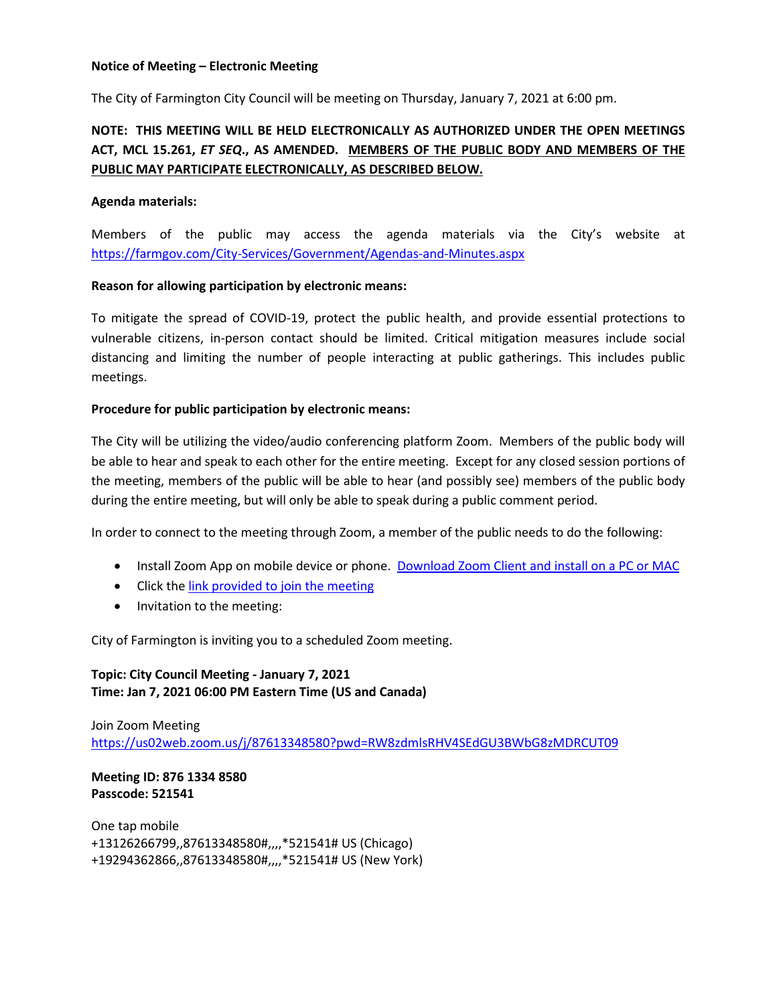#### **Notice of Meeting – Electronic Meeting**

The City of Farmington City Council will be meeting on Thursday, January 7, 2021 at 6:00 pm.

# **NOTE: THIS MEETING WILL BE HELD ELECTRONICALLY AS AUTHORIZED UNDER THE OPEN MEETINGS ACT, MCL 15.261,** *ET SEQ***., AS AMENDED. MEMBERS OF THE PUBLIC BODY AND MEMBERS OF THE PUBLIC MAY PARTICIPATE ELECTRONICALLY, AS DESCRIBED BELOW.**

### **Agenda materials:**

Members of the public may access the agenda materials via the City's website at <https://farmgov.com/City-Services/Government/Agendas-and-Minutes.aspx>

### **Reason for allowing participation by electronic means:**

To mitigate the spread of COVID-19, protect the public health, and provide essential protections to vulnerable citizens, in-person contact should be limited. Critical mitigation measures include social distancing and limiting the number of people interacting at public gatherings. This includes public meetings.

### **Procedure for public participation by electronic means:**

The City will be utilizing the video/audio conferencing platform Zoom. Members of the public body will be able to hear and speak to each other for the entire meeting. Except for any closed session portions of the meeting, members of the public will be able to hear (and possibly see) members of the public body during the entire meeting, but will only be able to speak during a public comment period.

In order to connect to the meeting through Zoom, a member of the public needs to do the following:

- Install Zoom App on mobile device or phone. [Download Zoom Client and install on a PC or MAC](https://zoom.us/download)
- Click th[e link provided to join the meeting](https://zoom.us/j/468937476)
- Invitation to the meeting:

City of Farmington is inviting you to a scheduled Zoom meeting.

## **Topic: City Council Meeting - January 7, 2021 Time: Jan 7, 2021 06:00 PM Eastern Time (US and Canada)**

Join Zoom Meeting <https://us02web.zoom.us/j/87613348580?pwd=RW8zdmlsRHV4SEdGU3BWbG8zMDRCUT09>

## **Meeting ID: 876 1334 8580 Passcode: 521541**

One tap mobile +13126266799,,87613348580#,,,,\*521541# US (Chicago) +19294362866,,87613348580#,,,,\*521541# US (New York)